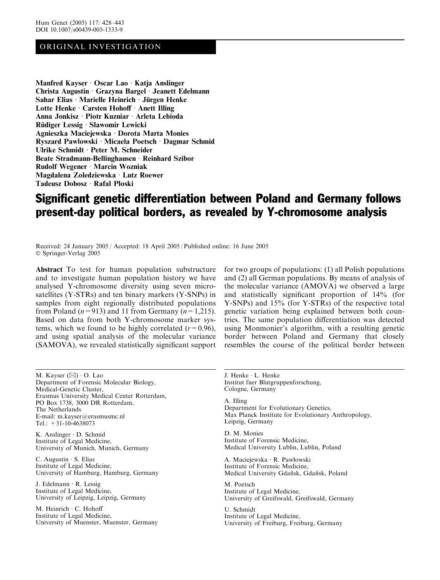## ORIGINAL INVESTIGATION

Manfred Kayser · Oscar Lao · Katja Anslinger Christa Augustin Grazyna Bargel Jeanett Edelmann Sahar Elias · Marielle Heinrich · Jürgen Henke Lotte Henke Carsten Hohoff Anett Illing Anna Jonkisz · Piotr Kuzniar · Arleta Lebioda Rüdiger Lessig · Slawomir Lewicki Agnieszka Maciejewska · Dorota Marta Monies Ryszard Pawłowski · Micaela Poetsch · Dagmar Schmid Ulrike Schmidt · Peter M. Schneider Beate Stradmann-Bellinghausen  $\cdot$  Reinhard Szibor Rudolf Wegener · Marcin Wozniak Magdalena Zoledziewska · Lutz Roewer Tadeusz Dobosz · Rafal Ploski

# Significant genetic differentiation between Poland and Germany follows present-day political borders, as revealed by Y-chromosome analysis

Received: 24 January 2005 / Accepted: 18 April 2005 / Published online: 16 June 2005 Springer-Verlag 2005

Abstract To test for human population substructure and to investigate human population history we have analysed Y-chromosome diversity using seven microsatellites (Y-STRs) and ten binary markers (Y-SNPs) in samples from eight regionally distributed populations from Poland ( $n=913$ ) and 11 from Germany ( $n=1,215$ ). Based on data from both Y-chromosome marker systems, which we found to be highly correlated  $(r=0.96)$ , and using spatial analysis of the molecular variance (SAMOVA), we revealed statistically significant support

for two groups of populations: (1) all Polish populations and (2) all German populations. By means of analysis of the molecular variance (AMOVA) we observed a large and statistically significant proportion of 14% (for Y-SNPs) and 15% (for Y-STRs) of the respective total genetic variation being explained between both countries. The same population differentiation was detected using Monmonier's algorithm, with a resulting genetic border between Poland and Germany that closely resembles the course of the political border between

M. Kayser  $(\boxtimes) \cdot$  O. Lao Department of Forensic Molecular Biology, Medical-Genetic Cluster, Erasmus University Medical Center Rotterdam, PO Box 1738, 3000 DR Rotterdam, The Netherlands E-mail: m.kayser@erasmusmc.nl Tel.:  $+31-10-4638073$ 

K. Anslinger  $\cdot$  D. Schmid Institute of Legal Medicine, University of Munich, Munich, Germany

C. Augustin  $\cdot$  S. Elias Institute of Legal Medicine, University of Hamburg, Hamburg, Germany

J. Edelmann · R. Lessig Institute of Legal Medicine, University of Leipzig, Leipzig, Germany

M. Heinrich C. Hohoff Institute of Legal Medicine, University of Muenster, Muenster, Germany

J. Henke · L. Henke Institut fuer Blutgruppenforschung, Cologne, Germany

A. Illing Department for Evolutionary Genetics, Max Planck Institute for Evolutionary Anthropology, Leipzig, Germany

D. M. Monies Institute of Forensic Medicine, Medical University Lublin, Lublin, Poland

A. Maciejewska · R. Pawłowski Institute of Forensic Medicine, Medical University Gdañsk, Gdañsk, Poland

M. Poetsch Institute of Legal Medicine, University of Greifswald, Greifswald, Germany

U. Schmidt Institute of Legal Medicine, University of Freiburg, Freiburg, Germany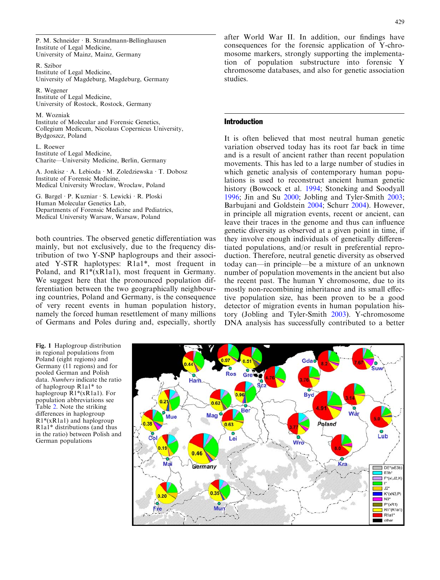<span id="page-1-0"></span>P. M. Schneider · B. Strandmann-Bellinghausen Institute of Legal Medicine, University of Mainz, Mainz, Germany

R. Szibor Institute of Legal Medicine, University of Magdeburg, Magdeburg, Germany

R. Wegener Institute of Legal Medicine, University of Rostock, Rostock, Germany

M. Wozniak Institute of Molecular and Forensic Genetics, Collegium Medicum, Nicolaus Copernicus University, Bydgoszcz, Poland

L. Roewer Institute of Legal Medicine, Charite—University Medicine, Berlin, Germany

A. Jonkisz · A. Lebioda · M. Zoledziewska · T. Dobosz Institute of Forensic Medicine, Medical University Wroclaw, Wroclaw, Poland

G. Bargel · P. Kuzniar · S. Lewicki · R. Ploski Human Molecular Genetics Lab, Departments of Forensic Medicine and Pediatrics, Medical University Warsaw, Warsaw, Poland

both countries. The observed genetic differentiation was mainly, but not exclusively, due to the frequency distribution of two Y-SNP haplogroups and their associated Y-STR haplotypes: R1a1\*, most frequent in Poland, and R1\*(xR1a1), most frequent in Germany. We suggest here that the pronounced population differentiation between the two geographically neighbouring countries, Poland and Germany, is the consequence of very recent events in human population history, namely the forced human resettlement of many millions of Germans and Poles during and, especially, shortly

after World War II. In addition, our findings have consequences for the forensic application of Y-chromosome markers, strongly supporting the implementation of population substructure into forensic Y chromosome databases, and also for genetic association studies.

#### Introduction

It is often believed that most neutral human genetic variation observed today has its root far back in time and is a result of ancient rather than recent population movements. This has led to a large number of studies in which genetic analysis of contemporary human populations is used to reconstruct ancient human genetic history (Bowcock et al. [1994](#page-13-0); Stoneking and Soodyall [1996;](#page-14-0) Jin and Su [2000](#page-13-0); Jobling and Tyler-Smith [2003](#page-13-0); Barbujani and Goldstein [2004](#page-13-0); Schurr [2004](#page-14-0)). However, in principle all migration events, recent or ancient, can leave their traces in the genome and thus can influence genetic diversity as observed at a given point in time, if they involve enough individuals of genetically differentiated populations, and/or result in preferential reproduction. Therefore, neutral genetic diversity as observed today can—in principle—be a mixture of an unknown number of population movements in the ancient but also the recent past. The human Y chromosome, due to its mostly non-recombining inheritance and its small effective population size, has been proven to be a good detector of migration events in human population history (Jobling and Tyler-Smith [2003](#page-13-0)). Y-chromosome DNA analysis has successfully contributed to a better



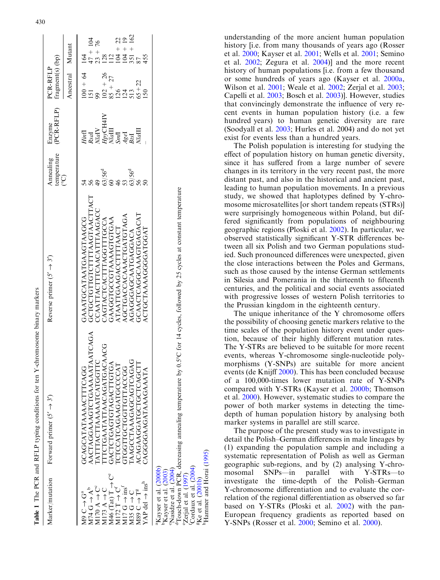<span id="page-2-0"></span>

| Marker/mutation                                                                                               | Forward primer $(5' \rightarrow 3')$                               | Reverse primer $(5' \rightarrow 3')$                             | temperature<br>Annealing       | (PCR-RFLP)<br>Enzyme           | fragment(s) (bp)<br>PCR-RFLP      |                                                                                                    |
|---------------------------------------------------------------------------------------------------------------|--------------------------------------------------------------------|------------------------------------------------------------------|--------------------------------|--------------------------------|-----------------------------------|----------------------------------------------------------------------------------------------------|
|                                                                                                               |                                                                    |                                                                  | ၟ                              |                                | Ancestral Mutant                  |                                                                                                    |
| $M74 G \rightarrow A^b$<br>$\bigvee^a \mathbb{C} \to \mathbb{C}^a$                                            | AACTAGGAAAGTCTGAAAAATAATCAGA<br>GCAGCATATAAACTTTCAGG               | GCTGCTGTTGTTTTAAGTAACTTACT<br>GAAATGCATAAGTAAGCG                 |                                | TmT<br>RsaI                    | $-64$<br>$\overline{151}$         | $47 + 104$<br>164                                                                                  |
| $M170 A \rightarrow C^c$<br>$M173 A \rightarrow C$                                                            | <b>ITTCTGAATATTAACAGATGACAACG</b><br>TATTTACTTAAAATCATGGTTC        | CAATTACTTTCAACATTTAAGACC<br><b>AGTACTCACTTAGETTGCCA</b>          |                                | $H_{D}$ yCH4IV<br><b>NlaIV</b> | ă                                 | 76<br>$^{+}_{128}$                                                                                 |
|                                                                                                               | GACTCHGTAGTACTCHGTGA                                               | <b>GAAGGTGCCCAAAAAAGTGTGAA</b>                                   | $63/56^d$                      | VlaIII                         | $\frac{102 + 26}{85 + 27}$<br>126 |                                                                                                    |
| M46 (Tat) $T \rightarrow C^{\circ}$<br>M172 T $\rightarrow C^{\circ}$                                         | ICTCCATCAAGAATGCCCCAT                                              | ATAATTGAAGACTTTTAACT                                             |                                |                                |                                   | $\frac{112}{104} + 22$<br>$\frac{104}{351} + \frac{19}{162}$<br>$\frac{351}{87} + \frac{162}{162}$ |
| $M17 G \rightarrow ins^f$                                                                                     | GTGGTTGTDEUDEDUGG                                                  | AGCTGACAAACTGATGTAGA                                             |                                | $Sml$<br>$4 gel$               | $\overline{24}$                   |                                                                                                    |
| $M35G \rightarrow C$                                                                                          | LAAGCCTAAAGCAGTCAGAG                                               | AGGGGGAGGAGGAGGAG                                                | 53<br>63/56 <sup>d</sup><br>56 | <b>BtsI</b>                    | $\frac{13}{2}$                    |                                                                                                    |
| $M89 \text{ C} \rightarrow T^8$                                                                               | <b>ACAGAAGGATGCTGCTCAGCTT</b>                                      | GCAACTCAGGAAAGTGAGACAT                                           |                                | $Nla$ II                       | $65 + 22$                         |                                                                                                    |
| YAP del $\rightarrow$ ins <sup>h</sup>                                                                        | CAGGGGAAGAAAGAAATA                                                 | ACTGCTAAAAGGGATGGAT                                              |                                |                                | $\overline{0}$                    | 455                                                                                                |
| <sup>a</sup> Kayser et al. (2000b)<br><sup>b</sup> Kayser et al. (2003)<br><sup>o</sup> Nasidze et al. (2004) |                                                                    |                                                                  |                                |                                |                                   |                                                                                                    |
|                                                                                                               | <sup>d</sup> Touch-down PCR, decreasing annealing temperature by 0 | 5°C for 14 cycles, followed by 25 cycles at constant temperature |                                |                                |                                   |                                                                                                    |

 $Z$ erjal et al. [\(1997](#page-15-0))<br>Cordaux et al. ([2004](#page-13-0))<br><sup>F</sup>Ke et al. ([2001b](#page-14-0))<br><sup>h</sup>Hammer and Horai [\(1995](#page-13-0))

understanding of the more ancient human population history [i.e. from many thousands of years ago (Rosser et al. [2000;](#page-14-0) Kayser et al. [2001;](#page-14-0) Wells et al. [2001](#page-14-0); Semino et al. [2002;](#page-14-0) Zegura et al. [2004](#page-15-0))] and the more recent history of human populations [i.e. from a few thousand or some hundreds of years ago (Kayser et al. [2000a](#page-13-0), Wilson et al. [2001;](#page-15-0) Weale et al. [2002;](#page-14-0) Zerjal et al. [2003](#page-15-0); Capelli et al. [2003](#page-13-0); Bosch et al. [2003\)](#page-13-0)]. However, studies that convincingly demonstrate the influence of very recent events in human population history (i.e. a few hundred years) to human genetic diversity are rare (Soodyall et al. [2003;](#page-14-0) Hurles et al. 2004) and do not yet exist for events less than a hundred years.

The Polish population is interesting for studying the effect of population history on human genetic diversity, since it has suffered from a large number of severe changes in its territory in the very recent past, the more distant past, and also in the historical and ancient past, leading to human population movements. In a previous study, we showed that haplotypes defined by Y-chromosome microsatellites [or short tandem repeats (STRs)] were surprisingly homogeneous within Poland, but differed significantly from populations of neighbouring geographic regions (Ploski et al. [2002\)](#page-14-0). In particular, we observed statistically significant Y-STR differences between all six Polish and two German populations studied. Such pronounced differences were unexpected, given the close interactions between the Poles and Germans, such as those caused by the intense German settlements in Silesia and Pomerania in the thirteenth to fifteenth centuries, and the political and social events associated with progressive losses of western Polish territories to the Prussian kingdom in the eighteenth century.

The unique inheritance of the Y chromosome offers the possibility of choosing genetic markers relative to the time scales of the population history event under question, because of their highly different mutation rates. The Y-STRs are believed to be suitable for more recent events, whereas Y-chromosome single-nucleotide polymorphisms (Y-SNPs) are suitable for more ancient events (de Knijff [2000](#page-13-0)). This has been concluded because of a 100,000-times lower mutation rate of Y-SNPs compared with Y-STRs (Kayser et al. [2000b;](#page-13-0) Thomson et al. [2000\)](#page-14-0). However, systematic studies to compare the power of both marker systems in detecting the timedepth of human population history by analysing both marker systems in parallel are still scarce.

The purpose of the present study was to investigate in detail the Polish–German differences in male lineages by (1) expanding the population sample and including a systematic representation of Polish as well as German geographic sub-regions, and by (2) analysing Y-chromosomal SNPs—in parallel with Y-STRs—to investigate the time-depth of the Polish–German Y-chromosome differentiation and to evaluate the correlation of the regional differentiation as observed so far based on Y-STRs (Ploski et al. [2002](#page-14-0)) with the pan-European frequency gradients as reported based on Y-SNPs (Rosser et al. [2000;](#page-14-0) Semino et al. [2000\)](#page-14-0).

Table 1 The PCR and RFLP typing conditions for ten Y-chromosome binary markers

The PCR and RFLP typing conditions for ten Y-chromosome binary markers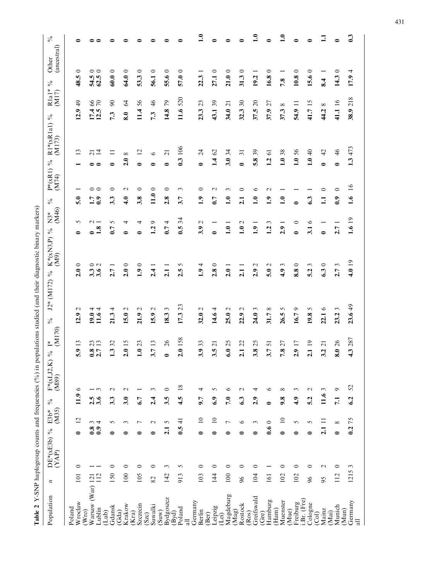| $2.500$ $\mu$ $\mu$                                                                                                                                            |
|----------------------------------------------------------------------------------------------------------------------------------------------------------------|
|                                                                                                                                                                |
|                                                                                                                                                                |
|                                                                                                                                                                |
| $\frac{5}{4}$<br>:<br>:<br>:                                                                                                                                   |
|                                                                                                                                                                |
|                                                                                                                                                                |
|                                                                                                                                                                |
|                                                                                                                                                                |
|                                                                                                                                                                |
| $f \circ f$ is a set of $f$ is a final field of $f$<br>֧֧֦֧֦֧֦֧֦֧֦֧֧֦֧֦֧֧֧֧֧֧֧֦֧֧֧֧֧֧֧֧֧֧֧֧֧֧֧֧֚֚֚֚֚֚֚֚֚֚֚֚֝֝֝֝֬֝֝֬֝֓֝֬֝֓֝֬֝֓֝֬֝֓֝֬֝֬֓֝֬֝֬֝֬֓֝֬֝֬֝֬֜<br>į<br>l |

<span id="page-3-0"></span>

| $\sqrt{6}$                         | 0                               | 0<br>╺                                    | ◒                      |                             |                         |                      |                       | 0                    | $\mathbf{u}$           | $\bullet$        | 0                   | 0                      | $\frac{1}{2}$               | $\bullet$             | $\ddot{=}$           | $\bullet$                  | $\bullet$                                                    | Ξ                         | $\bullet$              | $\mathbf{0.3}$                |
|------------------------------------|---------------------------------|-------------------------------------------|------------------------|-----------------------------|-------------------------|----------------------|-----------------------|----------------------|------------------------|------------------|---------------------|------------------------|-----------------------------|-----------------------|----------------------|----------------------------|--------------------------------------------------------------|---------------------------|------------------------|-------------------------------|
| (ancestral)<br>Other               |                                 |                                           |                        |                             |                         |                      |                       |                      |                        |                  |                     |                        |                             |                       |                      |                            |                                                              |                           |                        |                               |
| $\mathcal{S}_{\mathbf{0}}$         | $\circ$<br>48.5                 | $\circ$<br>$\circ$<br>$34.5$<br>$62.5$    | 60.00                  | 64.00                       | 53.30                   | 56.10                | 55.60                 | 57.00                | 22.3                   | 27.10            | 21.00               | 31.30                  | 19.2                        | 16.80                 | 7.8                  | $\mathbf{10.8}~\mathbf{0}$ | 15.60                                                        | 8.4                       | 14.30                  | 17.94                         |
| $R1a1*$<br>(M17)                   | $\frac{4}{9}$<br>12.9           | $\frac{66}{6}$<br>$17.4$<br>$12.5$        | $\infty$<br>7.3        | 2<br>8.0                    | 56<br>11.4              | $\frac{4}{6}$<br>7.3 | $\mathcal{L}$<br>14.8 | 520<br>11.6          | $\mathfrak{Z}$<br>23.3 | 43.1 39          | 34.0 21             | $\mathfrak{D}$<br>32.3 | 37.5 20                     | 27<br>37.9            | ${}^{\circ}$<br>37.3 | 54.9 11                    | $\frac{5}{1}$<br>41.7                                        | $^{\circ}$<br>44.2        | 41.1 16                | 38.9 218                      |
| R1*(xR1a1) %                       |                                 |                                           |                        |                             |                         |                      |                       |                      |                        |                  |                     |                        |                             |                       |                      |                            |                                                              |                           |                        |                               |
| (M173)<br>$\%$                     | 13                              | $\overline{4}$<br>$\overline{c}$          | Ξ                      | $\infty$<br>2.0             | $\overline{c}$          | $\circ$              | $\overline{c}$        | 0.3106               | $\overline{24}$        | 1.462            | 3.0 34              | $\overline{31}$        | 5.839                       | $\overline{6}$<br>1.2 | 1.0 38               | 1.0 56                     | 1.040                                                        | $4^{\circ}$               | $\frac{4}{6}$          | 1.3473                        |
| $P^*(xR1)$ (M74)                   |                                 | 00                                        | $\bullet$              |                             | $\bullet$               | $\bullet$            | $\bullet$             |                      | $\bullet$              |                  |                     | $\bullet$              |                             |                       |                      |                            |                                                              | $\bullet$                 | $\bullet$              |                               |
| $\mathcal{S}_{\mathbf{0}}$         | $\overline{\phantom{0}}$<br>5.0 | 0<br>$\circ$<br>$\frac{6.0}{2.1}$         | $\circ$<br>3.3         | $\mathcal{L}$<br>$\ddot{ }$ | $\circ$<br>3.8          | $\circ$<br>11.0      | $\circ$<br>2.8        | ξ<br>3.7             | $\circ$<br>$\ddot{1}$  | $\sim$<br>0.7    | ξ<br>1.0            | $\circ$<br>2.1         | $\circ$<br>$\overline{1.0}$ | $\mathbf 2$<br>1.9    | 1.0                  | $\bullet$                  | 6.3                                                          | $\circ$<br>$\Xi$          | $\circ$<br>$\ddot{0}$  | 16<br>1.6                     |
| (M46)<br>$\overset{*}{\mathrm{2}}$ | 5                               | $\sim$ $-$                                | 5                      | 4                           | 4                       | $\circ$              | 4                     | 34                   | $\mathbf 2$            |                  |                     |                        |                             | 3                     |                      | $\circ$                    | $\circ$                                                      |                           |                        |                               |
|                                    | $\bullet$                       | 1.8<br>$\bullet$                          | $\sim 0$               | $\bullet$                   | $\bullet$               | 1.2                  | 0.7                   | $\ddot{6}$           | 3.9                    | $\bullet$        | 1.01                | 1.02                   | 1.91                        | 1.2                   | 2.91                 | $\bullet$                  | 3.1                                                          | 0                         | 2.71                   | 1.6 19                        |
| $K^*(xN3,P)$ %<br>(M9)             |                                 | $\circ$ $\circ$                           |                        |                             |                         |                      |                       | 5                    | 4                      |                  |                     |                        | $\mathcal{L}$               | $\mathcal{C}$         | 3                    | $\circ$                    | 3                                                            | $\circ$                   | 3                      |                               |
|                                    | 2.00                            | $\begin{array}{c} 3.3 \\ 3.6 \end{array}$ | 2.71                   | 2.00                        | 1.90                    | 2.41                 | $2.1 -$               | 2.5                  | 1.9                    | 2.80             | 2.01                | 2.11                   | 2.9                         | 5.0                   | 4.9                  | 8.8                        | 5.2                                                          | 6.3                       | 2.7                    | 4.0 19                        |
| J2* (M172) %                       |                                 |                                           |                        |                             |                         |                      |                       |                      |                        |                  |                     |                        |                             |                       |                      |                            |                                                              |                           |                        |                               |
| $\frac{6}{6}$                      | $\mathbf{\sim}$<br>12.9         | 4<br>4<br>$\frac{19.6}{11.6}$             | 4<br>21.3              | $\mathcal{L}$<br>15.0       | $\mathbf{\sim}$<br>21.9 | $\mathbf 2$<br>15.9  | ξ<br>18.3             | 17.3 23              | $\mathbf 2$<br>32.0    | 14.64            | $\mathbf 2$<br>25.0 | 22.92                  | $\omega$<br>24.0            | $^{\circ}$<br>31.7    | S<br>26.5            | O<br>16.7                  | 5<br>19.8                                                    | $\circ$<br>22.1           | $\mathfrak{c}$<br>23.2 | 23.6 49                       |
| (M170)<br>$\ddot{ }$               | 13                              | 23                                        | 32                     |                             |                         |                      | 26                    | 2.0 158              | 33                     | $\overline{c}$   |                     | $\mathfrak{L}$         | 25                          | 51                    | 27                   |                            |                                                              | $\overline{\mathfrak{c}}$ |                        | 4.3 287                       |
|                                    | 5.9                             | $\frac{8}{2.7}$                           | 1.3                    | 2.0 15                      | 1.023                   | 3.7 13               | $\bullet$             |                      | 3.9                    | 3.5              | 6.025               | 2.1                    | 3.8                         | 3.7                   | 7.8                  | 2.9 17                     | 2.1 19                                                       | 3.2                       | 8.0 26                 |                               |
| $F*(x1, J2, K)$ %<br>(M89)         |                                 |                                           |                        |                             |                         |                      |                       | $\overline{18}$      |                        |                  |                     |                        |                             |                       |                      |                            |                                                              |                           |                        | 52                            |
| $\mathcal{S}_{\mathbf{0}}$         | $\circ$<br>11.9                 | $\sim$<br>2.5<br>2.6                      | $\mathbf{\sim}$<br>3.3 | $\mathbf{\sim}$<br>3.0      | 6.7                     | 3<br>2.4             | $\circ$<br>3.5        | n<br>4.              | 4<br>9.7               | 5<br>6.9         | ७<br>7.0            | $\mathbf{\sim}$<br>6.3 | 4<br>2.9                    | 6<br>0                | ${}^{\circ}$<br>9.8  | 3<br>4.9                   | $\mathbf{\sim}$<br>5.2                                       | 3<br>11.6                 | $\sigma$<br>7.1        | 6.2                           |
| (M35)<br>E3b*                      | $\overline{c}$                  | $\omega$ 4                                | 5                      | $\epsilon$                  | 7                       | $\mathbf{\sim}$      | 5                     | ╤                    | $\overline{10}$        | $\overline{10}$  | $\overline{ }$      | $\circ$                | $\epsilon$                  | $\circ$               | $\overline{10}$      | 5                          | 5                                                            | $\equiv$                  | ${}^{\circ}$           | 75                            |
|                                    |                                 | $\ddot{0}$<br>$\frac{8}{1}$               |                        |                             |                         |                      | $\overline{21}$       | $\ddot{0}$           |                        |                  |                     |                        |                             | ٥.                    | 0                    |                            |                                                              | 2.1                       | 0                      | 0.2                           |
| $DE*(xE3b)$ %<br>(YAP)             | $\circ$                         |                                           | 0                      | $\circ$                     | $\circ$                 | $\circ$              | 3                     | 5                    | ∊                      | $\circ$          | 0                   | $\circ$                | $\circ$                     |                       | $\circ$              | $\circ$                    | $\circ$                                                      | $\sim$                    | $\circ$                | $\mathfrak{c}$                |
| $\boldsymbol{z}$                   | 101                             | 12                                        | 150                    | 100                         | 105                     | 82                   | 142                   | 913                  | 103                    | 144              | 100                 | 96                     | 104                         | 161                   | 102                  | 102                        | 96                                                           | 95                        | 112                    | 1215                          |
| Population                         | Wroclaw<br>Poland               | Warsaw (War) 121<br>Lublin<br>(Wro)       | Gdansk<br>(Lub)        | Krakow<br>(Gda)             | Szczecin<br>(Kra)       | Suwalki<br>$(Szc)$   | Bydgoszcz<br>(Suw)    | Poland<br>(Byd)<br>급 | Germany<br>Berlin      | Leipzig<br>(Ber) | Magdeburg<br>(Lei)  | Rostock<br>$(Mag)$     | Greifswald<br>(Ros)         | Hamburg<br>(Gre)      | Muenster<br>(Ham)    | Freiburg<br>(Mue)          | i.Br. (Fre)<br>$\mathop{\mathrm{Col}}\nolimits$ gne<br>(Col) | Mainz<br>(Mai)            | Munich                 | Germany<br>(Mun)<br>$\exists$ |

431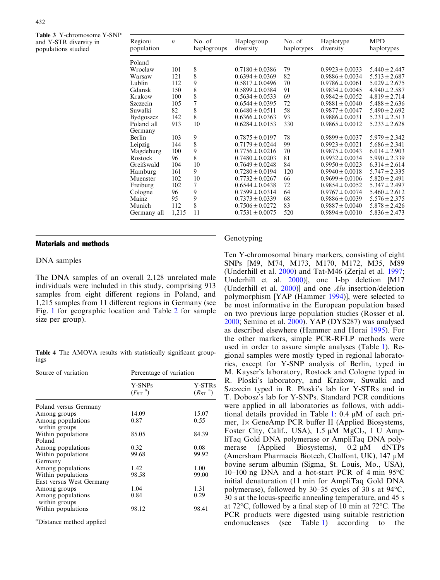<span id="page-4-0"></span>Table 3 Y-chromosome Y-SNP and Y-STR diversity in populations studied

| Region/<br>population | $\boldsymbol{n}$ | No. of<br>haplogroups | Haplogroup<br>diversity | No. of<br>haplotypes | Haplotype<br>diversity | <b>MPD</b><br>haplotypes |
|-----------------------|------------------|-----------------------|-------------------------|----------------------|------------------------|--------------------------|
| Poland                |                  |                       |                         |                      |                        |                          |
| Wroclaw               | 101              | 8                     | $0.7180 \pm 0.0386$     | 79                   | $0.9923 \pm 0.0033$    | $5.440 \pm 2.447$        |
| Warsaw                | 121              | 8                     | $0.6394 \pm 0.0369$     | 82                   | $0.9886 \pm 0.0034$    | $5.513 \pm 2.687$        |
| Lublin                | 112              | 9                     | $0.5817 \pm 0.0496$     | 70                   | $0.9786 \pm 0.0061$    | $5.029 \pm 2.675$        |
| Gdansk                | 150              | 8                     | $0.5899 \pm 0.0384$     | 91                   | $0.9834 \pm 0.0045$    | $4.940 \pm 2.587$        |
| Krakow                | 100              | 8                     | $0.5634 \pm 0.0533$     | 69                   | $0.9842 \pm 0.0052$    | $4.819 \pm 2.714$        |
| Szczecin              | 105              | $\overline{7}$        | $0.6544 \pm 0.0395$     | 72                   | $0.9881 \pm 0.0040$    | $5.488 \pm 2.636$        |
| Suwalki               | 82               | 8                     | $0.6480 \pm 0.0511$     | 58                   | $0.9877 \pm 0.0047$    | $5.490 \pm 2.692$        |
| Bydgoszcz             | 142              | 8                     | $0.6366 \pm 0.0363$     | 93                   | $0.9886 \pm 0.0031$    | $5.231 \pm 2.513$        |
| Poland all            | 913              | 10                    | $0.6284 \pm 0.0153$     | 330                  | $0.9865 \pm 0.0012$    | $5.233 \pm 2.628$        |
| Germany               |                  |                       |                         |                      |                        |                          |
| Berlin                | 103              | 9                     | $0.7875 \pm 0.0197$     | 78                   | $0.9899 \pm 0.0037$    | $5.979 \pm 2.342$        |
| Leipzig               | 144              | 8                     | $0.7179 \pm 0.0244$     | 99                   | $0.9923 \pm 0.0021$    | $5.686 \pm 2.341$        |
| Magdeburg             | 100              | 9                     | $0.7756 \pm 0.0216$     | 70                   | $0.9875 \pm 0.0043$    | $6.014 \pm 2.903$        |
| Rostock               | 96               | 8                     | $0.7480 \pm 0.0203$     | 81                   | $0.9932 \pm 0.0034$    | $5.990 \pm 2.339$        |
| Greifswald            | 104              | 10                    | $0.7649 \pm 0.0248$     | 84                   | $0.9950 \pm 0.0023$    | $6.314 \pm 2.614$        |
| Hamburg               | 161              | 9                     | $0.7280 \pm 0.0194$     | 120                  | $0.9940 \pm 0.0018$    | $5.747 \pm 2.335$        |
| Muenster              | 102              | 10                    | $0.7732 \pm 0.0267$     | 66                   | $0.9699 \pm 0.0106$    | $5.820 \pm 2.491$        |
| Freiburg              | 102              | 7                     | $0.6544 \pm 0.0438$     | 72                   | $0.9854 \pm 0.0052$    | $5.347 \pm 2.497$        |
| Cologne               | 96               | 9                     | $0.7599 \pm 0.0314$     | 64                   | $0.9767 \pm 0.0074$    | $5.460 \pm 2.612$        |
| Mainz                 | 95               | 9                     | $0.7373 \pm 0.0339$     | 68                   | $0.9886 \pm 0.0039$    | $5.576 \pm 2.375$        |
| Munich                | 112              | 8                     | $0.7506 \pm 0.0272$     | 83                   | $0.9887 \pm 0.0040$    | $5.878 \pm 2.426$        |
| Germany all           | 1,215            | 11                    | $0.7531 \pm 0.0075$     | 520                  | $0.9894 \pm 0.0010$    | $5.836 \pm 2.473$        |

#### Materials and methods

#### DNA samples

The DNA samples of an overall 2,128 unrelated male individuals were included in this study, comprising 913 samples from eight different regions in Poland, and 1,215 samples from 11 different regions in Germany (see Fig. 1 [for geographic location and Table](#page-3-0) 2 for sample [size per group\).](#page-3-0)

Table 4 The AMOVA results with statistically significant groupings

| Source of variation                | Percentage of variation    |                            |  |  |  |  |  |
|------------------------------------|----------------------------|----------------------------|--|--|--|--|--|
|                                    | Y-SNPs<br>$(F_{ST}^{\ a})$ | Y-STRs<br>$(R_{ST}^{\ a})$ |  |  |  |  |  |
| Poland versus Germany              |                            |                            |  |  |  |  |  |
| Among groups                       | 14.09                      | 15.07                      |  |  |  |  |  |
| Among populations<br>within groups | 0.87                       | 0.55                       |  |  |  |  |  |
| Within populations                 | 85.05                      | 84.39                      |  |  |  |  |  |
| Poland                             |                            |                            |  |  |  |  |  |
| Among populations                  | 0.32                       | 0.08                       |  |  |  |  |  |
| Within populations                 | 99.68                      | 99.92                      |  |  |  |  |  |
| Germany                            |                            |                            |  |  |  |  |  |
| Among populations                  | 1.42                       | 1.00                       |  |  |  |  |  |
| Within populations                 | 98.58                      | 99.00                      |  |  |  |  |  |
| East versus West Germany           |                            |                            |  |  |  |  |  |
| Among groups                       | 1.04                       | 1.31                       |  |  |  |  |  |
| Among populations<br>within groups | 0.84                       | 0.29                       |  |  |  |  |  |
| Within populations                 | 98.12                      | 98.41                      |  |  |  |  |  |

a Distance method applied

# Genotyping

Ten Y-chromosomal binary markers, consisting of eight SNPs [M9, M74, M173, M170, M172, M35, M89 (Underhill et al. [2000](#page-14-0)) and Tat-M46 (Zerjal et al. [1997](#page-15-0); Underhill et al. [2000](#page-14-0))], one 1-bp deletion [M17 (Underhill et al.  $2000$ )] and one *Alu* insertion/deletion polymorphism [YAP (Hammer [1994](#page-13-0))], were selected to be most informative in the European population based on two previous large population studies (Rosser et al. [2000;](#page-14-0) Semino et al. [2000](#page-14-0)). YAP (DYS287) was analysed as described elsewhere (Hammer and Horai [1995\)](#page-13-0). For the other markers, simple PCR-RFLP methods were used in order to assure simple analyses (Table [1\). Re](#page-2-0)[gional samples were mostly typed in regional laborato](#page-2-0)[ries, except for Y-SNP analysis of Berlin, typed in](#page-2-0) [M. Kayser's laboratory, Rostock and Cologne typed in](#page-2-0) [R. Ploski's laboratory, and Krakow, Suwalki and](#page-2-0) [Szczecin typed in R. Ploski's lab for Y-STRs and in](#page-2-0) [T. Dobosz's lab for Y-SNPs. Standard PCR conditions](#page-2-0) [were applied in all laboratories as follows, with addi](#page-2-0)[tional details provided in Table](#page-2-0) 1: 0.4  $\mu$ M of each primer,  $1 \times$  [GeneAmp PCR buffer II \(Applied Biosystems,](#page-2-0) Foster City, Calif., USA),  $1.5 \mu M$  MgCl<sub>2</sub>[, 1 U Amp](#page-2-0)[liTaq Gold DNA polymerase or AmpliTaq DNA poly](#page-2-0)merase (Applied Biosystems),  $0.2 \mu M$  dNTPs [\(Amersham Pharmacia Biotech, Chalfont, UK\), 147](#page-2-0) uM [bovine serum albumin \(Sigma, St. Louis, Mo., USA\),](#page-2-0) 10–100 ng DNA and a hot-start PCR of 4 min  $95^{\circ}$ C [initial denaturation \(11 min for AmpliTaq Gold DNA](#page-2-0) polymerase), followed by  $30-35$  cycles of 30 s at  $94^{\circ}$ C, [30 s at the locus-specific annealing temperature, and 45 s](#page-2-0) at  $72^{\circ}$ C, followed by a final step of 10 min at  $72^{\circ}$ C. The [PCR products were digested using suitable restriction](#page-2-0) [endonucleases \(see Table](#page-2-0) 1) according to the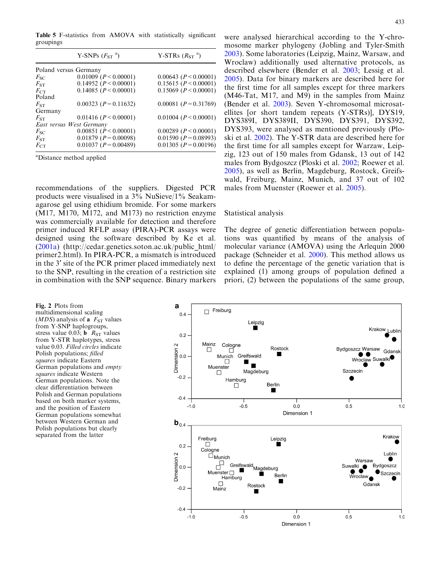<span id="page-5-0"></span>Table 5 F-statistics from AMOVA with statistically significant groupings

|                 | Y-SNPs $(F_{ST}^a)$         | Y-STRs $(R_{ST}^{\ a})$     |
|-----------------|-----------------------------|-----------------------------|
|                 | Poland versus Germany       |                             |
| $F_{SC}$        | $0.01009$ ( $P < 0.00001$ ) | $0.00643$ ( $P < 0.00001$ ) |
| $F_{ST}$        | 0.14952 $(P < 0.00001)$     | 0.15615 (P < 0.00001)       |
| $F_{CT}$        | 0.14085 (P < 0.00001)       | $0.15069$ ( $P < 0.00001$ ) |
| Poland          |                             |                             |
| $F_{ST}$        | $0.00323$ ( $P = 0.11632$ ) | $0.00081$ ( $P = 0.31769$ ) |
| Germany         |                             |                             |
| $F_{ST}$        | 0.01416 (P < 0.00001)       | 0.01004 ( $P < 0.00001$ )   |
|                 | East versus West Germany    |                             |
| $F_{SC}$        | 0.00851 (P < 0.00001)       | $0.00289$ ( $P < 0.00001$ ) |
| $F_{ST}$        | $0.01879$ ( $P = 0.00098$ ) | $0.01590 (P=0.08993)$       |
| $F_{\text{CT}}$ | $0.01037 (P=0.00489)$       | $0.01305$ ( $P = 0.00196$ ) |
|                 |                             |                             |

a Distance method applied

[recommendations of the suppliers. Digested PCR](#page-2-0) [products were visualised in a 3% NuSieve/1% Seakam](#page-2-0)[agarose gel using ethidium bromide. For some markers](#page-2-0) [\(M17, M170, M172, and M173\) no restriction enzyme](#page-2-0) [was commercially available for detection and therefore](#page-2-0) [primer induced RFLP assay \(PIRA\)-PCR assays were](#page-2-0) [designed using the software described by Ke et al.](#page-2-0) [\(2001a\)](#page-14-0) (http://cedar.genetics.soton.ac.uk/public\_html/ primer2.html). In PIRA-PCR, a mismatch is introduced in the 3' site of the PCR primer placed immediately next to the SNP, resulting in the creation of a restriction site in combination with the SNP sequence. Binary markers

Fig. 2 Plots from multidimensional scaling (*MDS*) analysis of **a**  $F_{ST}$  values from Y-SNP haplogroups, stress value 0.03; **b**  $R_{ST}$  values from Y-STR haplotypes, stress value 0.03. Filled circles indicate Polish populations; filled squares indicate Eastern German populations and empty squares indicate Western German populations. Note the clear differentiation between Polish and German populations based on both marker systems, and the position of Eastern German populations somewhat between Western German and Polish populations but clearly separated from the latter

were analysed hierarchical according to the Y-chromosome marker phylogeny (Jobling and Tyler-Smith [2003\)](#page-13-0). Some laboratories (Leipzig, Mainz, Warsaw, and Wroclaw) additionally used alternative protocols, as described elsewhere (Bender et al. [2003](#page-13-0); Lessig et al. [2005\)](#page-14-0). Data for binary markers are described here for the first time for all samples except for three markers (M46-Tat, M17, and M9) in the samples from Mainz (Bender et al. [2003\)](#page-13-0). Seven Y-chromosomal microsatellites [or short tandem repeats (Y-STRs)], DYS19, DYS389I, DYS389II, DYS390, DYS391, DYS392, DYS393, were analysed as mentioned previously (Ploski et al. [2002](#page-14-0)). The Y-STR data are described here for the first time for all samples except for Warzaw, Leipzig, 123 out of 150 males from Gdansk, 13 out of 142 males from Bydgoszcz (Ploski et al. [2002](#page-14-0); Roewer et al. [2005\)](#page-14-0), as well as Berlin, Magdeburg, Rostock, Greifs-

#### Statistical analysis

The degree of genetic differentiation between populations was quantified by means of the analysis of molecular variance (AMOVA) using the Arlequin 2000 package (Schneider et al. [2000\)](#page-14-0). This method allows us to define the percentage of the genetic variation that is explained (1) among groups of population defined a priori, (2) between the populations of the same group,

wald, Freiburg, Mainz, Munich, and 37 out of 102

males from Muenster (Roewer et al. [2005\)](#page-14-0).

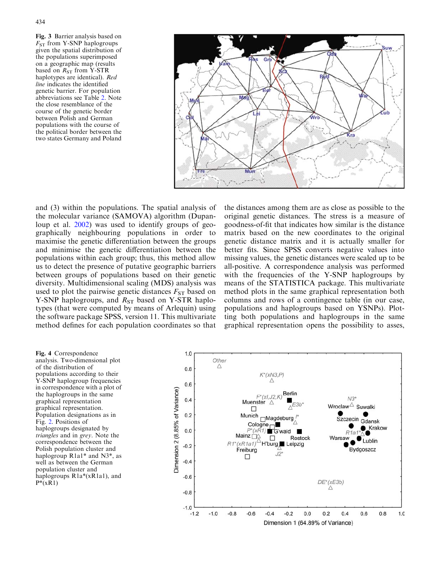<span id="page-6-0"></span>Fig. 3 Barrier analysis based on  $F_{ST}$  from Y-SNP haplogroups given the spatial distribution of the populations superimposed on a geographic map (results based on  $R_{ST}$  from Y-STR haplotypes are identical). Red line indicates the identified genetic barrier. For population abbreviations see Table [2. Note](#page-3-0) [the close resemblance of the](#page-3-0) [course of the genetic border](#page-3-0) [between Polish and German](#page-3-0) [populations with the course of](#page-3-0) [the political border between the](#page-3-0) [two states Germany and Poland](#page-3-0)



and (3) within the populations. The spatial analysis of the molecular variance (SAMOVA) algorithm (Dupanloup et al. [2002\)](#page-13-0) was used to identify groups of geographically neighbouring populations in order to maximise the genetic differentiation between the groups and minimise the genetic differentiation between the populations within each group; thus, this method allow us to detect the presence of putative geographic barriers between groups of populations based on their genetic diversity. Multidimensional scaling (MDS) analysis was used to plot the pairwise genetic distances  $F_{ST}$  based on Y-SNP haplogroups, and  $R_{ST}$  based on Y-STR haplotypes (that were computed by means of Arlequin) using the software package SPSS, version 11. This multivariate method defines for each population coordinates so that

the distances among them are as close as possible to the original genetic distances. The stress is a measure of goodness-of-fit that indicates how similar is the distance matrix based on the new coordinates to the original genetic distance matrix and it is actually smaller for better fits. Since SPSS converts negative values into missing values, the genetic distances were scaled up to be all-positive. A correspondence analysis was performed with the frequencies of the Y-SNP haplogroups by means of the STATISTICA package. This multivariate method plots in the same graphical representation both columns and rows of a contingence table (in our case, populations and haplogroups based on YSNPs). Plotting both populations and haplogroups in the same graphical representation opens the possibility to asses,

Fig. 4 Correspondence analysis. Two-dimensional plot of the distribution of populations according to their Y-SNP haplogroup frequencies in correspondence with a plot of the haplogroups in the same graphical representation graphical representation. Population designations as in Fig. [2. Positions of](#page-5-0) [haplogroups designated by](#page-5-0) triangles and in grey[. Note the](#page-5-0) [correspondence between the](#page-5-0) [Polish population cluster and](#page-5-0) [haplogroup R1a1\\* and N3\\*, as](#page-5-0) [well as between the German](#page-5-0) [population cluster and](#page-5-0) [haplogroups R1a\\*\(xR1a1\), and](#page-5-0)  $P^*(xR1)$ 

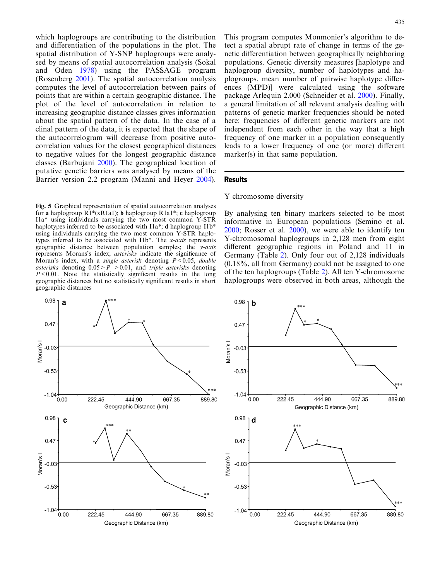<span id="page-7-0"></span>which haplogroups are contributing to the distribution and differentiation of the populations in the plot. The spatial distribution of Y-SNP haplogroups were analysed by means of spatial autocorrelation analysis (Sokal and Oden [1978\)](#page-14-0) using the PASSAGE program (Rosenberg [2001](#page-14-0)). The spatial autocorrelation analysis computes the level of autocorrelation between pairs of points that are within a certain geographic distance. The plot of the level of autocorrelation in relation to increasing geographic distance classes gives information about the spatial pattern of the data. In the case of a clinal pattern of the data, it is expected that the shape of the autocorrelogram will decrease from positive autocorrelation values for the closest geographical distances to negative values for the longest geographic distance classes (Barbujani [2000](#page-13-0)). The geographical location of putative genetic barriers was analysed by means of the Barrier version 2.2 program (Manni and Heyer [2004\)](#page-14-0).

Fig. 5 Graphical representation of spatial autocorrelation analyses for a haplogroup R1\*(xR1a1); b haplogroup R1a1\*; c haplogroup I1a\* using individuals carrying the two most common Y-STR haplotypes inferred to be associated with I1a\*; d haplogroup I1b\* using individuals carrying the two most common Y-STR haplotypes inferred to be associated with I1b\*. The x-axis represents geographic distance between population samples; the y-axis represents Morans's index; asterisks indicate the significance of Moran's index, with a *single asterisk* denoting  $P \le 0.05$ , *double* asterisks denoting  $0.05 > P > 0.01$ , and triple asterisks denoting  $P < 0.01$ . Note the statistically significant results in the long geographic distances but no statistically significant results in short geographic distances



This program computes Monmonier's algorithm to detect a spatial abrupt rate of change in terms of the genetic differentiation between geographically neighboring populations. Genetic diversity measures [haplotype and haplogroup diversity, number of haplotypes and haplogroups, mean number of pairwise haplotype differences (MPD)] were calculated using the software package Arlequin 2.000 (Schneider et al. [2000](#page-14-0)). Finally, a general limitation of all relevant analysis dealing with patterns of genetic marker frequencies should be noted here: frequencies of different genetic markers are not independent from each other in the way that a high frequency of one marker in a population consequently leads to a lower frequency of one (or more) different marker(s) in that same population.

#### **Results**

## Y chromosome diversity

By analysing ten binary markers selected to be most informative in European populations (Semino et al. [2000;](#page-14-0) Rosser et al. [2000](#page-14-0)), we were able to identify ten Y-chromosomal haplogroups in 2,128 men from eight different geographic regions in Poland and 11 in Germany (Table [2\). Only four out of 2,128 individuals](#page-3-0) [\(0.18%, all from Germany\) could not be assigned to one](#page-3-0) [of the ten haplogroups \(Table](#page-3-0) 2). All ten Y-chromosome [haplogroups were observed in both areas, although the](#page-3-0)

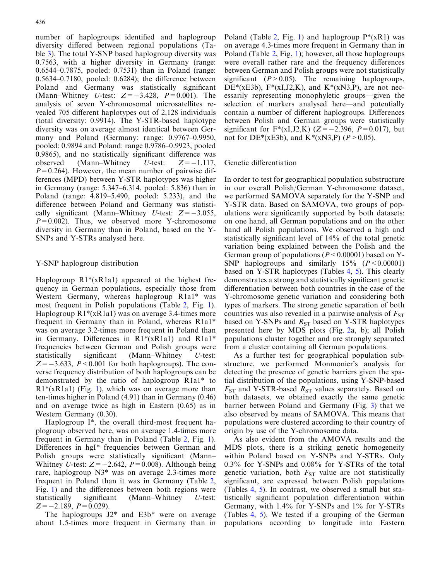[number of haplogroups identified and haplogroup](#page-3-0) [diversity differed between regional populations \(Ta](#page-3-0)ble [3\). The total Y-SNP based haplogroup diversity was](#page-4-0) [0.7563, with a higher diversity in Germany \(range:](#page-4-0) [0.6544–0.7875, pooled: 0.7531\) than in Poland \(range:](#page-4-0) [0.5634–0.7180, pooled: 0.6284\); the difference between](#page-4-0) [Poland and Germany was statistically significant](#page-4-0) [\(Mann–Whitney](#page-4-0) U-test:  $Z = -3.428$ ,  $P = 0.001$ ). The [analysis of seven Y-chromosomal microsatellites re](#page-4-0)[vealed 705 different haplotypes out of 2,128 individuals](#page-4-0) [\(total diversity: 0.9914\). The Y-STR-based haplotype](#page-4-0) [diversity was on average almost identical between Ger](#page-4-0)[many and Poland \(Germany: range: 0.9767–0.9950,](#page-4-0) [pooled: 0.9894 and Poland: range 0.9786–0.9923, pooled](#page-4-0) [0.9865\), and no statistically significant difference was](#page-4-0) [observed \(Mann–Whitney](#page-4-0)  $U$ -test:  $Z = -1.117$ ,  $P=0.264$ ). However, the mean number of pairwise dif[ferences \(MPD\) between Y-STR haplotypes was higher](#page-4-0) [in Germany \(range: 5.347–6.314, pooled: 5.836\) than in](#page-4-0) [Poland \(range: 4.819–5.490, pooled: 5.233\), and the](#page-4-0) [difference between Poland and Germany was statisti](#page-4-0)[cally significant \(Mann–Whitney](#page-4-0) U-test:  $Z = -3.055$ ,  $P=0.002$ ). Thus, we observed more Y-chromosome [diversity in Germany than in Poland, based on the Y-](#page-4-0)[SNPs and Y-STRs analysed here.](#page-4-0)

#### Y-SNP haplogroup distribution

Haplogroup R1\*(xR1a1) appeared at the highest frequency in German populations, especially those from Western Germany, whereas haplogroup R1a1\* was most frequent in Polish populations (Table [2, Fig.](#page-1-0) 1). [Haplogroup R1\\*\(xR1a1\) was on average 3.4-times more](#page-1-0) [frequent in Germany than in Poland, whereas R1a1\\*](#page-1-0) [was on average 3.2-times more frequent in Poland than](#page-1-0) [in Germany. Differences in R1\\*\(xR1a1\) and R1a1\\*](#page-1-0) [frequencies between German and Polish groups were](#page-1-0) [statistically significant \(Mann–Whitney](#page-1-0) U-test:  $Z=-3.633$  $Z=-3.633$  $Z=-3.633$ ,  $P<0.001$  for both haplogroups). The con[verse frequency distribution of both haplogroups can be](#page-1-0) [demonstrated by the ratio of haplogroup R1a1\\* to](#page-1-0)  $R1*(xR1a1)$  (Fig. [1\), which was on average more than](#page-1-0) [ten-times higher in Poland \(4.91\) than in Germany \(0.46\)](#page-1-0) [and on average twice as high in Eastern \(0.65\) as in](#page-1-0) [Western Germany \(0.30\).](#page-1-0)

Haplogroup I\*, the overall third-most frequent haplogroup observed here, was on average 1.4-times more frequent in Germany than in Poland (Table [2, Fig.](#page-1-0) 1). [Differences in hgI\\* frequencies between German and](#page-1-0) [Polish groups were statistically significant \(Mann–](#page-1-0) [Whitney](#page-1-0) U-test:  $Z = -2.642$ ,  $P = 0.008$ ). Although being [rare, haplogroup N3\\* was on average 2.3-times more](#page-1-0) [frequent in Poland than it was in Germany \(Table](#page-3-0) 2, Fig. [1\) and the differences between both regions were](#page-1-0) [statistically significant \(Mann–Whitney](#page-1-0) U-test:  $Z=-2.189, P=0.029$  $Z=-2.189, P=0.029$  $Z=-2.189, P=0.029$ .

The haplogroups J2\* and E3b\* were on average about 1.5-times more frequent in Germany than in Poland (Table 2, Fig. 1) and haplogroup  $P^*(xR1)$  was [on average 4.3-times more frequent in Germany than in](#page-1-0) Poland (Table 2, Fig. [1\); however, all those haplogroups](#page-1-0) [were overall rather rare and the frequency differences](#page-1-0) [between German and Polish groups were not statistically](#page-1-0) significant  $(P>0.05)$ . The remaining haplogroups,  $DE^*(xE3b)$ ,  $F^*(xI,J2,K)$ , and  $K^*(xN3,P)$ , are not nec[essarily representing monophyletic groups—given the](#page-1-0) [selection of markers analysed here—and potentially](#page-1-0) [contain a number of different haplogroups. Differences](#page-1-0) [between Polish and German groups were statistically](#page-1-0) significant for  $F^*(xI,J2,K)$  (Z = -2.396, P = 0.017), but not for DE\*(xE3b), and  $K*(xN3,P)$  ( $P > 0.05$ ).

## Genetic differentiation

In order to test for geographical population substructure in our overall Polish/German Y-chromosome dataset, we performed SAMOVA separately for the Y-SNP and Y-STR data. Based on SAMOVA, two groups of populations were significantly supported by both datasets: on one hand, all German populations and on the other hand all Polish populations. We observed a high and statistically significant level of 14% of the total genetic variation being explained between the Polish and the German group of populations ( $P \le 0.00001$ ) based on Y-SNP haplogroups and similarly  $15\%$  ( $P < 0.00001$ ) based on Y-STR haplotypes (Tables 4, [5\). This clearly](#page-5-0) [demonstrates a strong and statistically significant genetic](#page-5-0) [differentiation between both countries in the case of the](#page-5-0) [Y-chromosome genetic variation and considering both](#page-5-0) [types of markers. The strong genetic separation of both](#page-5-0) [countries was also revealed in a pairwise analysis of](#page-5-0)  $F_{ST}$ [based on Y-SNPs and](#page-5-0)  $R_{ST}$  [based on Y-STR haplotypes](#page-5-0) [presented here by MDS plots \(Fig.](#page-5-0) 2a, b); all Polish [populations cluster together and are strongly separated](#page-5-0) [from a cluster containing all German populations.](#page-5-0)

As a further test for geographical population substructure, we performed Monmonier's analysis for detecting the presence of genetic barriers given the spatial distribution of the populations, using Y-SNP-based  $F_{ST}$  and Y-STR-based  $R_{ST}$  values separately. Based on both datasets, we obtained exactly the same genetic barrier between Poland and Germany (Fig. [3\) that we](#page-6-0) [also observed by means of SAMOVA. This means that](#page-6-0) [populations were clustered according to their country of](#page-6-0) [origin by use of the Y-chromosome data.](#page-6-0)

As also evident from the AMOVA results and the MDS plots, there is a striking genetic homogeneity within Poland based on Y-SNPs and Y-STRs. Only 0.3% for Y-SNPs and 0.08% for Y-STRs of the total genetic variation, both  $F_{ST}$  value are not statistically significant, are expressed between Polish populations (Tables 4, [5\). In contrast, we observed a small but sta](#page-5-0)[tistically significant population differentiation within](#page-5-0) [Germany, with 1.4% for Y-SNPs and 1% for Y-STRs](#page-5-0) (Tables 4, [5\). We tested if a grouping of the German](#page-5-0) [populations according to longitude into Eastern](#page-5-0)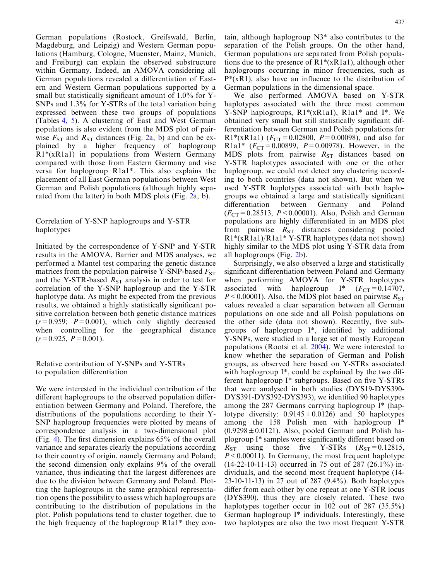[German populations \(Rostock, Greifswald, Berlin,](#page-5-0) [Magdeburg, and Leipzig\) and Western German popu](#page-5-0)[lations \(Hamburg, Cologne, Muenster, Mainz, Munich,](#page-5-0) [and Freiburg\) can explain the observed substructure](#page-5-0) [within Germany. Indeed, an AMOVA considering all](#page-5-0) [German populations revealed a differentiation of East](#page-5-0)[ern and Western German populations supported by a](#page-5-0) [small but statistically significant amount of 1.0% for Y-](#page-5-0)[SNPs and 1.3% for Y-STRs of the total variation being](#page-5-0) [expressed between these two groups of populations](#page-5-0) (Tables 4, [5\). A clustering of East and West German](#page-5-0) [populations is also evident from the MDS plot of pair](#page-5-0)[wise](#page-5-0)  $F_{ST}$  [and](#page-5-0)  $R_{ST}$  distances (Fig. [2a, b\) and can be ex](#page-5-0)[plained by a higher frequency of haplogroup](#page-5-0) [R1\\*\(xR1a1\) in populations from Western Germany](#page-5-0) [compared with those from Eastern Germany and vise](#page-5-0) [versa for haplogroup R1a1\\*. This also explains the](#page-5-0) [placement of all East German populations between West](#page-5-0) [German and Polish populations \(although highly sepa](#page-5-0)[rated from the latter\) in both MDS plots \(Fig.](#page-5-0) 2a, b).

### Correlation of Y-SNP haplogroups and Y-STR haplotypes

Initiated by the correspondence of Y-SNP and Y-STR results in the AMOVA, Barrier and MDS analyses, we performed a Mantel test comparing the genetic distance matrices from the population pairwise Y-SNP-based  $F_{ST}$ and the Y-STR-based  $R_{ST}$  analysis in order to test for correlation of the Y-SNP haplogroup and the Y-STR haplotype data. As might be expected from the previous results, we obtained a highly statistically significant positive correlation between both genetic distance matrices  $(r=0.959; P=0.001)$ , which only slightly decreased when controlling for the geographical distance  $(r=0.925, P=0.001).$ 

# Relative contribution of Y-SNPs and Y-STRs to population differentiation

We were interested in the individual contribution of the different haplogroups to the observed population differentiation between Germany and Poland. Therefore, the distributions of the populations according to their Y-SNP haplogroup frequencies were plotted by means of correspondence analysis in a two-dimensional plot (Fig. [4\). The first dimension explains 65% of the overall](#page-6-0) [variance and separates clearly the populations according](#page-6-0) [to their country of origin, namely Germany and Poland;](#page-6-0) [the second dimension only explains 9% of the overall](#page-6-0) [variance, thus indicating that the largest differences are](#page-6-0) [due to the division between Germany and Poland. Plot](#page-6-0)[ting the haplogroups in the same graphical representa](#page-6-0)[tion opens the possibility to assess which haplogroups are](#page-6-0) [contributing to the distribution of populations in the](#page-6-0) [plot. Polish populations tend to cluster together, due to](#page-6-0) [the high frequency of the haplogroup R1a1\\* they con-](#page-6-0)

[tain, although haplogroup N3\\* also contributes to the](#page-6-0) [separation of the Polish groups. On the other hand,](#page-6-0) [German populations are separated from Polish popula](#page-6-0)tions due to the presence of  $R1*(xR1a1)$ , although other [haplogroups occurring in minor frequencies, such as](#page-6-0)  $P^*(xR1)$ , also have an influence to the distribution of [German populations in the dimensional space.](#page-6-0)

We also performed AMOVA based on Y-STR haplotypes associated with the three most common Y-SNP haplogroups, R1\*(xR1a1), R1a1\* and I\*. We obtained very small but still statistically significant differentiation between German and Polish populations for R1\*(xR1a1) ( $F_{CT}$ =0.02800, P=0.00098), and also for R1a1\* ( $F_{CT} = 0.00899$ ,  $P = 0.00978$ ). However, in the MDS plots from pairwise  $R_{ST}$  distances based on Y-STR haplotypes associated with one or the other haplogroup, we could not detect any clustering according to both countries (data not shown). But when we used Y-STR haplotypes associated with both haplogroups we obtained a large and statistically significant differentiation between Germany and Poland  $(F_{CT}=0.28513, P<0.00001)$ . Also, Polish and German populations are highly differentiated in an MDS plot from pairwise  $R_{ST}$  distances considering pooled R1\*(xR1a1)/R1a1\* Y-STR haplotypes (data not shown) highly similar to the MDS plot using Y-STR data from all haplogroups (Fig. [2b\).](#page-5-0)

Surprisingly, we also observed a large and statistically significant differentiation between Poland and Germany when performing AMOVA for Y-STR haplotypes associated with haplogroup  $I^*$   $(F_{CT} = 0.14707,$  $P < 0.00001$ ). Also, the MDS plot based on pairwise  $R_{ST}$ values revealed a clear separation between all German populations on one side and all Polish populations on the other side (data not shown). Recently, five subgroups of haplogroup I\*, identified by additional Y-SNPs, were studied in a large set of mostly European populations (Rootsi et al. [2004\)](#page-14-0). We were interested to know whether the separation of German and Polish groups, as observed here based on Y-STRs associated with haplogroup I\*, could be explained by the two different haplogroup I\* subgroups. Based on five Y-STRs that were analysed in both studies (DYS19-DYS390- DYS391-DYS392-DYS393), we identified 90 haplotypes among the 287 Germans carrying haplogroup I\* (haplotype diversity:  $0.9145 \pm 0.0126$ ) and 50 haplotypes among the 158 Polish men with haplogroup I\*  $(0.9298 \pm 0.0121)$ . Also, pooled German and Polish haplogroup I\* samples were significantly different based on  $R_{ST}$  using those five Y-STRs  $(R_{ST}=0.12815,$  $P \leq 0.00011$ ). In Germany, the most frequent haplotype (14-22-10-11-13) occurred in 75 out of 287 (26.1%) individuals, and the second most frequent haplotype (14- 23-10-11-13) in 27 out of 287 (9.4%). Both haplotypes differ from each other by one repeat at one Y-STR locus (DYS390), thus they are closely related. These two haplotypes together occur in 102 out of 287 (35.5%) German haplogroup I\* individuals. Interestingly, these two haplotypes are also the two most frequent Y-STR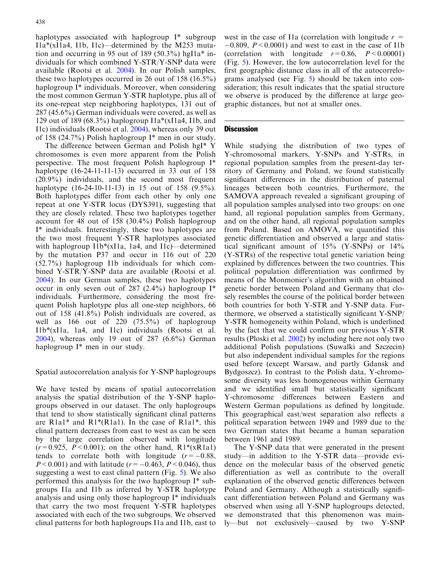haplotypes associated with haplogroup I\* subgroup I1a\*(xI1a4, I1b, I1c)—determined by the M253 mutation and occurring in 95 out of 189 (50.3%) hgI1a\* individuals for which combined Y-STR/Y-SNP data were available (Rootsi et al. [2004\)](#page-14-0). In our Polish samples, these two haplotypes occurred in 26 out of 158 (16.5%) haplogroup I\* individuals. Moreover, when considering the most common German Y-STR haplotype, plus all of its one-repeat step neighboring haplotypes, 131 out of 287 (45.6%) German individuals were covered, as well as 129 out of 189 (68.3%) haplogroup I1a\*(xI1a4, I1b, and I1c) individuals (Rootsi et al. [2004\)](#page-14-0), whereas only 39 out of 158 (24.7%) Polish haplogroup I\* men in our study.

The difference between German and Polish hgI\* Y chromosomes is even more apparent from the Polish perspective. The most frequent Polish haplogroup I\* haplotype (16-24-11-11-13) occurred in 33 out of 158 (20.9%) individuals, and the second most frequent haplotype (16-24-10-11-13) in 15 out of 158 (9.5%). Both haplotypes differ from each other by only one repeat at one Y-STR locus (DYS391), suggesting that they are closely related. These two haplotypes together account for 48 out of 158 (30.4%) Polish haplogroup I\* individuals. Interestingly, these two haplotypes are the two most frequent Y-STR haplotypes associated with haplogroup I1b\*(xI1a, 1a4, and I1c)—determined by the mutation P37 and occur in 116 out of 220 (52.7%) haplogroup I1b individuals for which combined Y-STR/Y-SNP data are available (Rootsi et al. [2004](#page-14-0)). In our German samples, these two haplotypes occur in only seven out of 287 (2.4%) haplogroup  $I^*$ individuals. Furthermore, considering the most frequent Polish haplotype plus all one-step neighbors, 66 out of 158 (41.8%) Polish individuals are covered, as well as 166 out of 220 (75.5%) of haplogroup I1b\*(xI1a, 1a4, and I1c) individuals (Rootsi et al. [2004](#page-14-0)), whereas only 19 out of 287 (6.6%) German haplogroup I\* men in our study.

#### Spatial autocorrelation analysis for Y-SNP haplogroups

We have tested by means of spatial autocorrelation analysis the spatial distribution of the Y-SNP haplogroups observed in our dataset. The only haplogroups that tend to show statistically significant clinal patterns are R1a1\* and R1\*(R1a1). In the case of R1a1\*, this clinal pattern decreases from east to west as can be seen by the large correlation observed with longitude  $(r=0.925, P<0.001)$ ; on the other hand, R1\*(xR1a1) tends to correlate both with longitude  $(r=-0.88,$  $P < 0.001$ ) and with latitude ( $r = -0.463$ ,  $P < 0.046$ ), thus suggesting a west to east clinal pattern (Fig. [5\). We also](#page-7-0) [performed this analysis for the two haplogroup I\\* sub](#page-7-0)[groups I1a and I1b as inferred by Y-STR haplotype](#page-7-0) [analysis and using only those haplogroup I\\* individuals](#page-7-0) [that carry the two most frequent Y-STR haplotypes](#page-7-0) [associated with each of the two subgroups. We observed](#page-7-0) [clinal patterns for both haplogroups I1a and I1b, east to](#page-7-0)

[west in the case of I1a \(correlation with longitude](#page-7-0)  $r =$  $-0.809$ ,  $P < 0.0001$ ) and west to east in the case of I1b [\(correlation with longitude](#page-7-0)  $r=0.86$ ,  $P < 0.00001$ ) (Fig. [5\). However, the low autocorrelation level for the](#page-7-0) [first geographic distance class in all of the autocorrelo](#page-7-0)grams analysed (see Fig. [5\) should be taken into con](#page-7-0)[sideration; this result indicates that the spatial structure](#page-7-0) [we observe is produced by the difference at large geo](#page-7-0)[graphic distances, but not at smaller ones.](#page-7-0)

#### **Discussion**

While studying the distribution of two types of Y-chromosomal markers, Y-SNPs and Y-STRs, in regional population samples from the present-day territory of Germany and Poland, we found statistically significant differences in the distribution of paternal lineages between both countries. Furthermore, the SAMOVA approach revealed a significant grouping of all population samples analysed into two groups: on one hand, all regional population samples from Germany, and on the other hand, all regional population samples from Poland. Based on AMOVA, we quantified this genetic differentiation and observed a large and statistical significant amount of 15% (Y-SNPs) or 14% (Y-STRs) of the respective total genetic variation being explained by differences between the two countries. This political population differentiation was confirmed by means of the Monmonier's algorithm with an obtained genetic border between Poland and Germany that closely resembles the course of the political border between both countries for both Y-STR and Y-SNP data. Furthermore, we observed a statistically significant Y-SNP/ Y-STR homogeneity within Poland, which is underlined by the fact that we could confirm our previous Y-STR results (Ploski et al. [2002\)](#page-14-0) by including here not only two additional Polish populations (Suwalki and Szczecin) but also independent individual samples for the regions used before (except Warsaw, and partly Gdansk and Bydgoszcz). In contrast to the Polish data, Y-chromosome diversity was less homogeneous within Germany and we identified small but statistically significant Y-chromosome differences between Eastern and Western German populations as defined by longitude. This geographical east/west separation also reflects a political separation between 1949 and 1989 due to the two German states that became a human separation between 1961 and 1989.

The Y-SNP data that were generated in the present study—in addition to the Y-STR data—provide evidence on the molecular basis of the observed genetic differentiation as well as contribute to the overall explanation of the observed genetic differences between Poland and Germany. Although a statistically significant differentiation between Poland and Germany was observed when using all Y-SNP haplogroups detected, we demonstrated that this phenomenon was mainly—but not exclusively—caused by two Y-SNP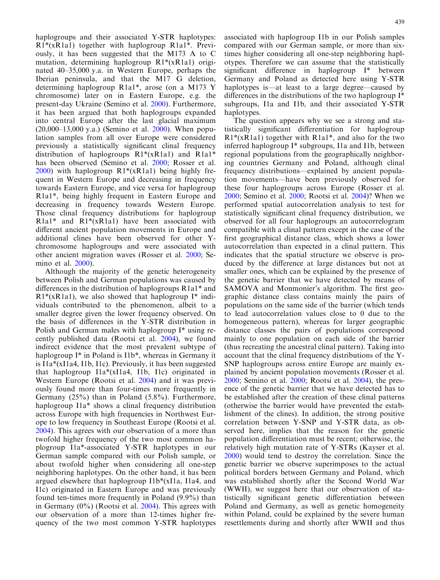haplogroups and their associated Y-STR haplotypes: R1\*(xR1a1) together with haplogroup R1a1\*. Previously, it has been suggested that the M173 A to C mutation, determining haplogroup R1\*(xR1a1) originated 40–35,000 y.a. in Western Europe, perhaps the Iberian peninsula, and that the M17 G deletion, determining haplogroup R1a1\*, arose (on a M173 Y chromosome) later on in Eastern Europe, e.g. the present-day Ukraine (Semino et al. [2000](#page-14-0)). Furthermore, it has been argued that both haplogroups expanded into central Europe after the last glacial maximum (20,000–13,000 y.a.) (Semino et al. [2000](#page-14-0)). When population samples from all over Europe were considered previously a statistically significant clinal frequency distribution of haplogroups R1\*(xR1a1) and R1a1\* has been observed (Semino et al. [2000](#page-14-0); Rosser et al.  $2000$ ) with haplogroup  $R1*(xR1a1)$  being highly frequent in Western Europe and decreasing in frequency towards Eastern Europe, and vice versa for haplogroup R1a1\*, being highly frequent in Eastern Europe and decreasing in frequency towards Western Europe. Those clinal frequency distributions for haplogroup  $R1a1*$  and  $R1*(xR1a1)$  have been associated with different ancient population movements in Europe and additional clines have been observed for other Ychromosome haplogroups and were associated with other ancient migration waves (Rosser et al. [2000;](#page-14-0) Semino et al. [2000](#page-14-0)).

Although the majority of the genetic heterogeneity between Polish and German populations was caused by differences in the distribution of haplogroups R1a1\* and  $R1*(xR1a1)$ , we also showed that haplogroup I<sup>\*</sup> individuals contributed to the phenomenon, albeit to a smaller degree given the lower frequency observed. On the basis of differences in the Y-STR distribution in Polish and German males with haplogroup I\* using recently published data (Rootsi et al. [2004\)](#page-14-0), we found indirect evidence that the most prevalent subtype of haplogroup I\* in Poland is I1b\*, whereas in Germany it is I1a\*(xI1a4, I1b, I1c). Previously, it has been suggested that haplogroup I1a\*(xI1a4, I1b, I1c) originated in Western Europe (Rootsi et al. [2004\)](#page-14-0) and it was previously found more than four-times more frequently in Germany (25%) than in Poland (5.8%). Furthermore, haplogroup I1a\* shows a clinal frequency distribution across Europe with high frequencies in Northwest Europe to low frequency in Southeast Europe (Rootsi et al. [2004](#page-14-0)). This agrees with our observation of a more than twofold higher frequency of the two most common haplogroup I1a\*-associated Y-STR haplotypes in our German sample compared with our Polish sample, or about twofold higher when considering all one-step neighboring haplotypes. On the other hand, it has been argued elsewhere that haplogroup I1b\*(xI1a, I1a4, and I1c) originated in Eastern Europe and was previously found ten-times more frequently in Poland (9.9%) than in Germany  $(0\%)$  (Rootsi et al. [2004\)](#page-14-0). This agrees with our observation of a more than 12-times higher frequency of the two most common Y-STR haplotypes

The question appears why we see a strong and statistically significant differentiation for haplogroup  $R1*(xR1a1)$  together with  $R1a1*,$  and also for the two inferred haplogroup I\* subgroups, I1a and I1b, between regional populations from the geographically neighboring countries Germany and Poland, although clinal frequency distributions—explained by ancient population movements—have been previously observed for these four haplogroups across Europe (Rosser et al. [2000;](#page-14-0) Semino et al. [2000](#page-14-0); Rootsi et al. [2004](#page-14-0))? When we performed spatial autocorrelation analysis to test for statistically significant clinal frequency distribution, we observed for all four haplogroups an autocorrelogram compatible with a clinal pattern except in the case of the first geographical distance class, which shows a lower autocorrelation than expected in a clinal pattern. This indicates that the spatial structure we observe is produced by the difference at large distances but not at smaller ones, which can be explained by the presence of the genetic barrier that we have detected by means of SAMOVA and Monmonier's algorithm. The first geographic distance class contains mainly the pairs of populations on the same side of the barrier (which tends to lead autocorrelation values close to 0 due to the homogeneous pattern), whereas for larger geographic distance classes the pairs of populations correspond mainly to one population on each side of the barrier (thus recreating the ancestral clinal pattern). Taking into account that the clinal frequency distributions of the Y-SNP haplogroups across entire Europe are mainly explained by ancient population movements (Rosser et al. [2000;](#page-14-0) Semino et al. [2000;](#page-14-0) Rootsi et al. [2004\)](#page-14-0), the presence of the genetic barrier that we have detected has to be established after the creation of these clinal patterns (otherwise the barrier would have prevented the establishment of the clines). In addition, the strong positive correlation between Y-SNP and Y-STR data, as observed here, implies that the reason for the genetic population differentiation must be recent; otherwise, the relatively high mutation rate of Y-STRs (Kayser et al. [2000\)](#page-13-0) would tend to destroy the correlation. Since the genetic barrier we observe superimposes to the actual political borders between Germany and Poland, which was established shortly after the Second World War (WWII), we suggest here that our observation of statistically significant genetic differentiation between Poland and Germany, as well as genetic homogeneity within Poland, could be explained by the severe human resettlements during and shortly after WWII and thus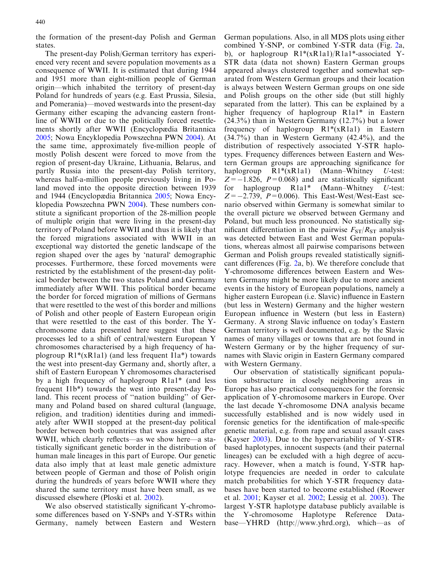the formation of the present-day Polish and German states.

The present-day Polish/German territory has experienced very recent and severe population movements as a consequence of WWII. It is estimated that during 1944 and 1951 more than eight-million people of German origin—which inhabited the territory of present-day Poland for hundreds of years (e.g. East Prussia, Silesia, and Pomerania)—moved westwards into the present-day Germany either escaping the advancing eastern frontline of WWII or due to the politically forced resettlements shortly after WWII (Encyclopædia Britannica [2005](#page-13-0); Nowa Encyklopedia Powszechna PWN [2004](#page-14-0)). At the same time, approximately five-million people of mostly Polish descent were forced to move from the region of present-day Ukraine, Lithuania, Belarus, and partly Russia into the present-day Polish territory, whereas half-a-million people previously living in Poland moved into the opposite direction between 1939 and 1944 (Encyclopædia Britannica [2005;](#page-13-0) Nowa Encyklopedia Powszechna PWN [2004\)](#page-14-0). These numbers constitute a significant proportion of the 28-million people of multiple origin that were living in the present-day territory of Poland before WWII and thus it is likely that the forced migrations associated with WWII in an exceptional way distorted the genetic landscape of the region shaped over the ages by 'natural' demographic processes. Furthermore, these forced movements were restricted by the establishment of the present-day political border between the two states Poland and Germany immediately after WWII. This political border became the border for forced migration of millions of Germans that were resettled to the west of this border and millions of Polish and other people of Eastern European origin that were resettled to the east of this border. The Ychromosome data presented here suggest that these processes led to a shift of central/western European Y chromosomes characterised by a high frequency of haplogroup  $R1*(xR1a1)$  (and less frequent  $I1a^*$ ) towards the west into present-day Germany and, shortly after, a shift of Eastern European Y chromosomes characterised by a high frequency of haplogroup R1a1\* (and less frequent I1b\*) towards the west into present-day Poland. This recent process of ''nation building'' of Germany and Poland based on shared cultural (language, religion, and tradition) identities during and immediately after WWII stopped at the present-day political border between both countries that was assigned after WWII, which clearly reflects—as we show here—a statistically significant genetic border in the distribution of human male lineages in this part of Europe. Our genetic data also imply that at least male genetic admixture between people of German and those of Polish origin during the hundreds of years before WWII where they shared the same territory must have been small, as we discussed elsewhere (Ploski et al. [2002](#page-14-0)).

We also observed statistically significant Y-chromosome differences based on Y-SNPs and Y-STRs within Germany, namely between Eastern and Western German populations. Also, in all MDS plots using either combined Y-SNP, or combined Y-STR data (Fig. [2a,](#page-5-0) [b\), or haplogroup R1\\*\(xR1a1\)/R1a1\\*-associated Y-](#page-5-0)[STR data \(data not shown\) Eastern German groups](#page-5-0) [appeared always clustered together and somewhat sep](#page-5-0)[arated from Western German groups and their location](#page-5-0) [is always between Western German groups on one side](#page-5-0) [and Polish groups on the other side \(but still highly](#page-5-0) [separated from the latter\). This can be explained by a](#page-5-0) [higher frequency of haplogroup R1a1\\* in Eastern](#page-5-0) [\(24.3%\) than in Western Germany \(12.7%\) but a lower](#page-5-0) [frequency of haplogroup R1\\*\(xR1a1\) in Eastern](#page-5-0) [\(34.7%\) than in Western Germany \(42.4%\), and the](#page-5-0) [distribution of respectively associated Y-STR haplo](#page-5-0)[types. Frequency differences between Eastern and Wes](#page-5-0)[tern German groups are approaching significance for](#page-5-0) haplogroup  $R1*(xR1a1)$  (Mann–Whitney *U*-test:  $Z=-1.826$  $Z=-1.826$  $Z=-1.826$ ,  $P=0.068$ ) and are statistically significant [for haplogroup R1a1\\* \(Mann–Whitney](#page-5-0) U-test:  $Z=-2.739$  $Z=-2.739$  $Z=-2.739$ ,  $P=0.006$ ). This East-West/West-East sce[nario observed within Germany is somewhat similar to](#page-5-0) [the overall picture we observed between Germany and](#page-5-0) [Poland, but much less pronounced. No statistically sig](#page-5-0)[nificant differentiation in the pairwise](#page-5-0)  $F_{ST}/R_{ST}$  $F_{ST}/R_{ST}$  $F_{ST}/R_{ST}$  [analysis](#page-5-0) [was detected between East and West German popula](#page-5-0)[tions, whereas almost all pairwise comparisons between](#page-5-0) [German and Polish groups revealed statistically signifi](#page-5-0)cant differences (Fig. [2a, b\). We therefore conclude that](#page-5-0) [Y-chromosome differences between Eastern and Wes](#page-5-0)[tern Germany might be more likely due to more ancient](#page-5-0) [events in the history of European populations, namely a](#page-5-0) [higher eastern European \(i.e. Slavic\) influence in Eastern](#page-5-0) [\(but less in Western\) Germany and the higher western](#page-5-0) [European influence in Western \(but less in Eastern\)](#page-5-0) [Germany. A strong Slavic influence on today's Eastern](#page-5-0) [German territory is well documented, e.g. by the Slavic](#page-5-0) [names of many villages or towns that are not found in](#page-5-0) [Western Germany or by the higher frequency of sur](#page-5-0)[names with Slavic origin in Eastern Germany compared](#page-5-0) [with Western Germany.](#page-5-0)

Our observation of statistically significant population substructure in closely neighboring areas in Europe has also practical consequences for the forensic application of Y-chromosome markers in Europe. Over the last decade Y-chromosome DNA analysis became successfully established and is now widely used in forensic genetics for the identification of male-specific genetic material, e.g. from rape and sexual assault cases (Kayser [2003\)](#page-14-0). Due to the hypervariability of Y-STRbased haplotypes, innocent suspects (and their paternal lineages) can be excluded with a high degree of accuracy. However, when a match is found, Y-STR haplotype frequencies are needed in order to calculate match probabilities for which Y-STR frequency databases have been started to become established (Roewer et al. [2001;](#page-14-0) Kayser et al. [2002;](#page-14-0) Lessig et al. [2003](#page-14-0)). The largest Y-STR haplotype database publicly available is the Y-chromosome Haplotype Reference Database—YHRD (http://www.yhrd.org), which—as of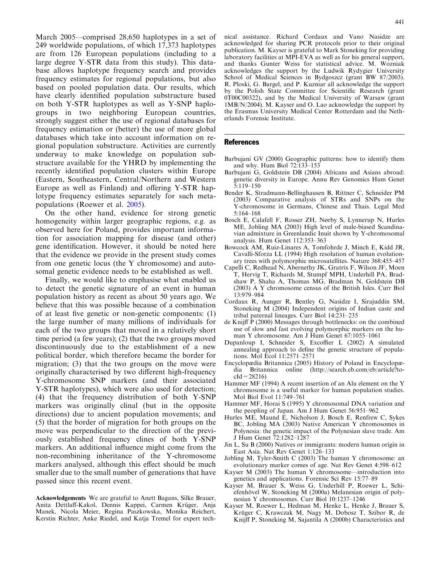<span id="page-13-0"></span>March 2005—comprised 28,650 haplotypes in a set of 249 worldwide populations, of which 17,373 haplotypes are from 126 European populations (including to a large degree Y-STR data from this study). This database allows haplotype frequency search and provides frequency estimates for regional populations, but also based on pooled population data. Our results, which have clearly identified population substructure based on both Y-STR haplotypes as well as Y-SNP haplogroups in two neighboring European countries, strongly suggest either the use of regional databases for frequency estimation or (better) the use of more global databases which take into account information on regional population substructure. Activities are currently underway to make knowledge on population substructure available for the YHRD by implementing the recently identified population clusters within Europe (Eastern, Southeastern, Central/Northern and Western Europe as well as Finland) and offering Y-STR haplotype frequency estimates separately for such metapopulations (Roewer et al. [2005](#page-14-0)).

On the other hand, evidence for strong genetic homogeneity within larger geographic regions, e.g. as observed here for Poland, provides important information for association mapping for disease (and other) gene identification. However, it should be noted here that the evidence we provide in the present study comes from one genetic locus (the Y chromosome) and autosomal genetic evidence needs to be established as well.

Finally, we would like to emphasise what enabled us to detect the genetic signature of an event in human population history as recent as about 50 years ago. We believe that this was possible because of a combination of at least five genetic or non-genetic components: (1) the large number of many millions of individuals for each of the two groups that moved in a relatively short time period (a few years); (2) that the two groups moved discontinuously due to the establishment of a new political border, which therefore became the border for migration; (3) that the two groups on the move were originally characterised by two different high-frequency Y-chromosome SNP markers (and their associated Y-STR haplotypes), which were also used for detection; (4) that the frequency distribution of both Y-SNP markers was originally clinal (but in the opposite directions) due to ancient population movements; and (5) that the border of migration for both groups on the move was perpendicular to the direction of the previously established frequency clines of both Y-SNP markers. An additional influence might come from the non-recombining inheritance of the Y-chromosome markers analysed, although this effect should be much smaller due to the small number of generations that have passed since this recent event.

Acknowledgements We are grateful to Anett Bagans, Silke Brauer, Anita Dettlaff-Kakol, Dennis Kappei, Carmen Krüger, Anja Manek, Nicola Meier, Regina Paszkowska, Monika Reichert, Kerstin Richter, Anke Riedel, and Katja Tremel for expert technical assistance. Richard Cordaux and Vano Nasidze are acknowledged for sharing PCR protocols prior to their original publication. M. Kayser is grateful to Mark Stoneking for providing laboratory facilities at MPI-EVA as well as for his general support, and thanks Gunter Weiss for statistical advice. M. Wozniak acknowledges the support by the Ludwik Rydygier University School of Medical Sciences in Bydgoszcz (grant BW 87/2003). R. Ploski, G. Bargel, and P. Kuzniar all acknowledge the support by the Polish State Committee for Scientific Research (grant 0T00C00322), and by the Medical University of Warsaw (grant 1MB/N/2004). M. Kayser and O. Lao acknowledge the support by the Erasmus University Medical Center Rotterdam and the Netherlands Forensic Institute.

#### References

- Barbujani GV (2000) Geographic patterns: how to identify them and why. Hum Biol 72:133–153
- Barbujani G, Goldstein DB (2004) Africans and Asians abroad: genetic diversity in Europe. Annu Rev Genomics Hum Genet 5:119–150
- Bender K, Stradmann-Bellinghausen B, Rittner C, Schneider PM (2003) Comparative analysis of STRs and SNPs on the Y-chromosome in Germans, Chinese and Thais. Legal Med 5:164–168
- Bosch E, Calafell F, Rosser ZH, Nørby S, Lynnerup N, Hurles ME, Jobling MA (2003) High level of male-biased Scandinavian admixture in Greenlandic Inuit shown by Y-chromosomal analysis. Hum Genet 112:353–363
- Bowcock AM, Ruiz-Linares A, Tomfohrde J, Minch E, Kidd JR, Cavalli-Sforza LL (1994) High resolution of human evolutionary trees with polymorphic microsatellites. Nature 368:455–457
- Capelli C, Redhead N, Abernethy JK, Gratrix F, Wilson JF, Moen T, Hervig T, Richards M, Stumpf MPH, Underhill PA, Bradshaw P, Shaha A, Thomas MG, Bradman N, Goldstein DB (2003) A Y chromosome census of the British Isles. Curr Biol 13:979–984
- Cordaux R, Aunger R, Bentley G, Nasidze I, Sirajuddin SM, Stoneking M (2004) Independent origins of Indian caste and tribal paternal lineages. Curr Biol 14:231–235
- de Knijff P (2000) Messages through bottlenecks: on the combined use of slow and fast evolving polymorphic markers on the human Y chromosome. Am J Hum Genet 67:1055–1061
- Dupanloup I, Schneider S, Excoffier L (2002) A simulated annealing approach to define the genetic structure of populations. Mol Ecol 11:2571–2571
- Encyclopædia Britannica (2005) History of Poland in Encyclopædia Britannica online (http://search.eb.com/eb/article?to $cId = 28216$
- Hammer MF (1994) A recent insertion of an Alu element on the Y chromosome is a useful marker for human population studies. Mol Biol Evol 11:749–761
- Hammer MF, Horai S (1995) Y chromosomal DNA variation and the peopling of Japan. Am J Hum Genet 56:951–962
- Hurles ME, Maund E, Nicholson J, Bosch E, Renfrew C, Sykes BC, Jobling MA (2003) Native American Y chromosomes in Polynesia: the genetic impact of the Polynesian slave trade. Am J Hum Genet 72:1282–1287
- Jin L, Su B (2000) Natives or immigrants: modern human origin in East Asia. Nat Rev Genet 1:126–133
- Jobling M, Tyler-Smith C (2003) The human Y chromosome: an evolutionary marker comes of age. Nat Rev Genet 4:598–612
- Kayser M (2003) The human Y chromosome—introduction into genetics and applications. Forensic Sci Rev 15:77–89
- Kayser M, Brauer S, Weiss G, Underhill P, Roewer L, Schiefenhövel W, Stoneking M (2000a) Melanesian origin of polynesian Y chromosomes. Curr Biol 10:1237–1246
- Kayser M, Roewer L, Hedman M, Henke L, Henke J, Brauer S, Krüger C, Krawczak M, Nagy M, Dobosz T, Szibor R, de Knijff P, Stoneking M, Sajantila A (2000b) Characteristics and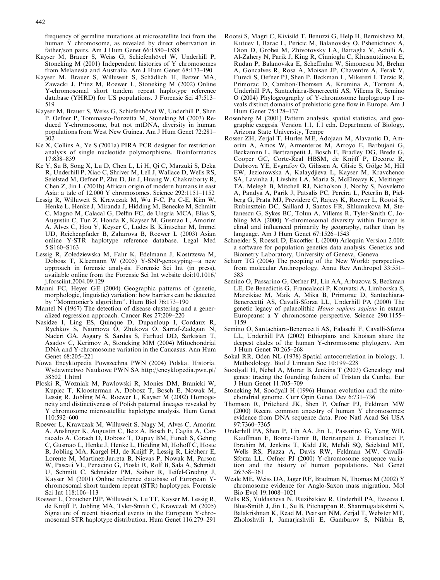<span id="page-14-0"></span>frequency of germline mutations at microsatellite loci from the human Y chromosome, as revealed by direct observation in father/son pairs. Am J Hum Genet 66:1580–1588

- Kayser M, Brauer S, Weiss G, Schiefenhövel W, Underhill P, Stoneking M (2001) Independent histories of Y chromosomes from Melanesia and Australia. Am J Hum Genet 68:173–190
- Kayser M, Brauer S, Willuweit S, Schädlich H, Batzer MA, Zawacki J, Prinz M, Roewer L, Stoneking M (2002) Online Y-chromosomal short tandem repeat haplotype reference database (YHRD) for US populations. J Forensic Sci 47:513– 519
- Kayser M, Brauer S, Weiss G, Schiefenhövel W, Underhill P, Shen P, Oefner P, Tommaseo-Ponzetta M, Stoneking M (2003) Reduced Y-chromosome, but not mtDNA, diversity in human populations from West New Guinea. Am J Hum Genet 72:281– 302
- Ke X, Collins A, Ye S (2001a) PIRA PCR designer for restriction analysis of single nucleotide polymorphisms. Bioinformatics 17:838–839
- Ke Y, Su B, Song X, Lu D, Chen L, Li H, Qi C, Marzuki S, Deka R, Underhill P, Xiao C, Shriver M, Lell J, Wallace D, Wells RS, Seielstad M, Oefner P, Zhu D, Jin J, Huang W, Chakraborty R, Chen Z, Jin L (2001b) African origin of modern humans in east Asia: a tale of 12,000 Y chromosomes. Science 292:1151–1152
- Lessig R, Willuweit S, Krawczak M, Wu F-C, Pu C-E, Kim W, Henke L, Henke J, Miranda J, Hidding M, Benecke M, Schmitt C, Magno M, Calacal G, Delfin FC, de Ungria MCA, Elias S, Augustin C, Tun Z, Honda K, Kayser M, Gusmao L, Amorim A, Alves C, Hou Y, Keyser C, Ludes B, Klintschar M, Immel UD, Reichenpfader B, Zaharova B, Roewer L (2003) Asian online Y-STR haplotype reference database. Legal Med 5:S160–S163
- Lessig R, Zoledziewska M, Fahr K, Edelmann J, Kostrzewa M, Dobosz T, Kleemann W (2005) Y-SNP-genotyping—a new approach in forensic analysis. Forensic Sci Int (in press), available online from the Forensic Sci Int website doi:10.1016/ j.forsciint.2004.09.129
- Manni FC, Heyer GE (2004) Geographic patterns of (genetic, morphologic, linguistic) variation: how barriers can be detected by ''Monmonier's algorithm''. Hum Biol 76:173–190
- Mantel N (1967) The detection of disease clustering and a generalized regression approach. Cancer Res 27:209–220
- Nasidze I, Ling ES, Quinque D, Dupanloup I, Cordaux R, Rychkov S, Naumova O, Zhukova O, Sarraf-Zadegan N, Naderi GA, Asgary S, Sardas S, Farhud DD, Sarkisian T, Asadov C, Kerimov A, Stoneking MM (2004) Mitochondrial DNA and Y-chromosome variation in the Caucasus. Ann Hum Genet 68:205–221
- Nowa Encyklopedia Powszechna PWN (2004) Polska. Historia. Wydawnictwo Naukowe PWN SA http://encyklopedia.pwn.pl/ 58502\_1.html
- Ploski R, Wozniak M, Pawlowski R, Monies DM, Branicki W, Kupiec T, Kloosterman A, Dobosz T, Bosch E, Nowak M, Lessig R, Jobling MA, Roewer L, Kayser M (2002) Homogeneity and distinctiveness of Polish paternal lineages revealed by Y chromosome microsatellite haplotype analysis. Hum Genet 110:592–600
- Roewer L, Krawczak M, Willuweit S, Nagy M, Alves C, Amorim A, Anslinger K, Augustin C, Betz A, Bosch E, Caglia A, Carracedo A, Corach D, Dobosz T, Dupuy BM, Furedi S, Gehrig C, Gusmao L, Henke J, Henke L, Hidding M, Hohoff C, Hoste B, Jobling MA, Kargel HJ, de Knijff P, Lessig R, Liebherr E, Lorente M, Martinez-Jarreta B, Nievas P, Nowak M, Parson W, Pascali VL, Penacino G, Ploski R, Rolf B, Sala A, Schmidt U, Schmitt C, Schneider PM, Szibor R, Teifel-Greding J, Kayser M (2001) Online reference database of European Ychromosomal short tandem repeat (STR) haplotypes. Forensic Sci Int 118:106–113
- Roewer L, Croucher PJP, Willuweit S, Lu TT, Kayser M, Lessig R, de Knijff P, Jobling MA, Tyler-Smith C, Krawczak M (2005) Signature of recent historical events in the European Y-chromosomal STR haplotype distribution. Hum Genet 116:279–291
- Rootsi S, Magri C, Kivisild T, Benuzzi G, Help H, Bermisheva M, Kutuev I, Barac L, Pericic M, Balanovsky O, Pshenichnov A, Dion D, Grobei M, Zhivotovsky LA, Battaglia V, Achilli A, Al-Zahery N, Parik J, King R, Cinnioglu C, Khusnutdinova E, Rudan P, Balanovska E, Scheffrahn W, Simonescu M, Brehm A, Goncalves R, Rosa A, Moisan JP, Chaventre A, Ferak V, Furedi S, Oefner PJ, Shen P, Beckman L, Mikerezi I, Terzic R, Primorac D, Cambon-Thomsen A, Krumina A, Torroni A, Underhill PA, Santachiara-Benerecetti AS, Villems R, Semino O (2004) Phylogeography of Y-chromosome haplogroup I reveals distinct domains of prehistoric gene flow in Europe. Am J Hum Genet 75:128–137
- Rosenberg M (2001) Pattern analysis, spatial statistics, and geographic exegesis. Version 1.1, 1.1 edn. Department of Biology, Arizona State University, Tempe
- Rosser ZH, Zerjal T, Hurles ME, Adojaan M, Alavantic D, Amorim A, Amos W, Armenteros M, Arroyo E, Barbujani G, Beckamnn L, Bertranpetit J, Bosch E, Bradley DG, Brede G, Cooper GC, Corte-Real HBSM, de Knijff P, Decorte R, Dubrova YE, Evgrafov O, Gilissen A, Glisic S, Gölge M, Hill EW, Jeziorowska A, Kalaydjieva L, Kayser M, Kravchenco SA, Lavinha J, Livshits LA, Maria S, McElreavy K, Meitinger TA, Melegh B, Mitchell RJ, Nicholson J, Norby S, Noveletto A, Pandya A, Parik J, Patsalis PC, Pereira L, Peterlin B, Pielberg G, Prata MJ, Previdere C, Rajczy K, Roewer L, Rootsi S, Rubinsztein DC, Saillard J, Santos FR, Shlumukova M, Stefanescu G, Sykes BC, Tolun A, Villems R, Tyler-Smith C, Jobling MA (2000) Y-chromosomal diversity within Europe is clinal and influenced primarily by geography, rather than by language. Am J Hum Genet 67:1526–1543
- Schneider S, Roessli D, Excoffier L (2000) Arlequin Version 2.000: a software for population genetics data analysis. Genetics and Biometry Laboratory, University of Geneva, Geneva
- Schurr TG (2004) The peopling of the New World: perspectives from molecular Anthropology. Annu Rev Anthropol 33:551– 583
- Semino O, Passarino G, Oefner PJ, Lin AA, Arbuzova S, Beckman LE, De Benedictis G, Francalacci P, Kouvatsi A, Limborska S, Marcikiae M, Maik A, Mika B, Primorac D, Santachiara-Benerecetti AS, Cavalli-Sforza LL, Underhill PA (2000) The genetic legacy of palaeolithic Homo sapiens sapiens in extant Europeans: a Y chromosome perspective. Science 290:1155– 1159
- Semino O, Santachiara-Benerecetti AS, Falaschi F, Cavalli-Sforza LL, Underhill PA (2002) Ethiopians and Khoisan share the deepest clades of the human Y-chromosome phylogeny. Am J Hum Genet 70:265–268
- Sokal RR, Oden NL (1978) Spatial autocorrelation in biology. 1. Methodology. Biol J Linnean Soc 10:199–228
- Soodyall H, Nebel A, Morar B, Jenkins T (2003) Genealogy and genes: tracing the founding fathers of Tristan da Cunha. Eur J Hum Genet 11:705–709
- Stoneking M, Soodyall H (1996) Human evolution and the mitochondrial genome. Curr Opin Genet Dev 6:731–736
- Thomson R, Pritchard JK, Shen P, Oefner PJ, Feldman MW (2000) Recent common ancestry of human Y chromosomes: evidence from DNA sequence data. Proc Natl Acad Sci USA 97:7360–7365
- Underhill PA, Shen P, Lin AA, Jin L, Passarino G, Yang WH, Kauffman E, Bonne-Tamir B, Bertranpetit J, Francalacci P, Ibrahim M, Jenkins T, Kidd JR, Mehdi SQ, Seielstad MT, Wells RS, Piazza A, Davis RW, Feldman MW, Cavalli-Sforza LL, Oefner PJ (2000) Y-chromosome sequence variation and the history of human populations. Nat Genet 26:358–361
- Weale ME, Weiss DA, Jager RF, Bradman N, Thomas M (2002) Y chromosome evidence for Anglo-Saxon mass migration. Mol Bio Evol 19:1008–1021
- Wells RS, Yuldasheva N, Ruzibakiev R, Underhill PA, Evseeva I, Blue-Smith J, Jin L, Su B, Pitchappan R, Shanmugalakshmi S, Balakrishnan K, Read M, Pearson NM, Zerjal T, Webster MT, Zholoshvili I, Jamarjashvili E, Gambarov S, Nikbin B,